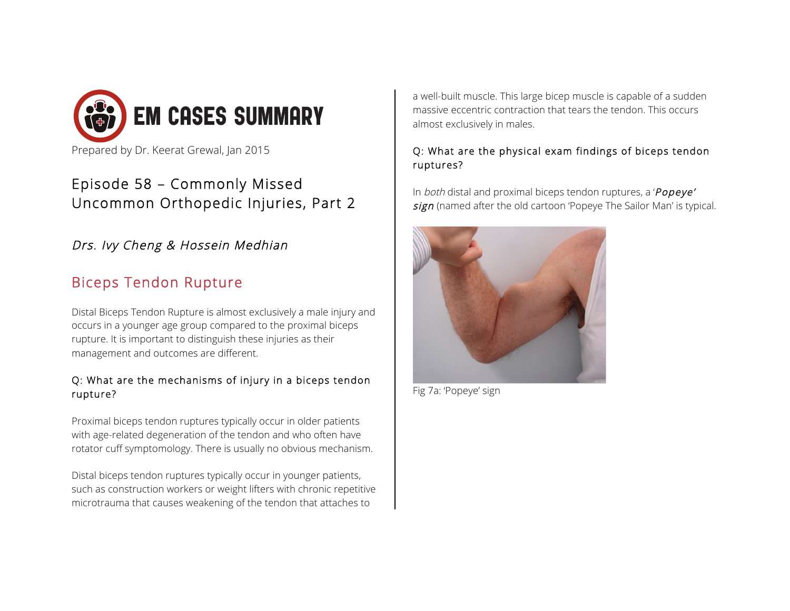

# Episode 58 – Commonly Missed Uncommon Orthopedic Injuries, Part 2

## Drs. Ivy Cheng & Hossein Medhian

# Biceps Tendon Rupture

Distal Biceps Tendon Rupture is almost exclusively a male injury and occurs in a younger age group compared to the proximal biceps rupture. It is important to distinguish these injuries as their management and outcomes are different.

#### Q: What are the mechanisms of injury in a biceps tendon rupture?

Proximal biceps tendon ruptures typically occur in older patients with age-related degeneration of the tendon and who often have rotator cuff symptomology. There is usually no obvious mechanism.

Distal biceps tendon ruptures typically occur in younger patients, such as construction workers or weight lifters with chronic repetitive microtrauma that causes weakening of the tendon that attaches to

a well-built muscle. This large bicep muscle is capable of a sudden massive eccentric contraction that tears the tendon. This occurs almost exclusively in males.

### Q: What are the physical exam findings of biceps tendon ruptures?

In both distal and proximal biceps tendon ruptures, a 'Popeye' sign (named after the old cartoon 'Popeye The Sailor Man' is typical.



Fig 7a: 'Popeye' sign